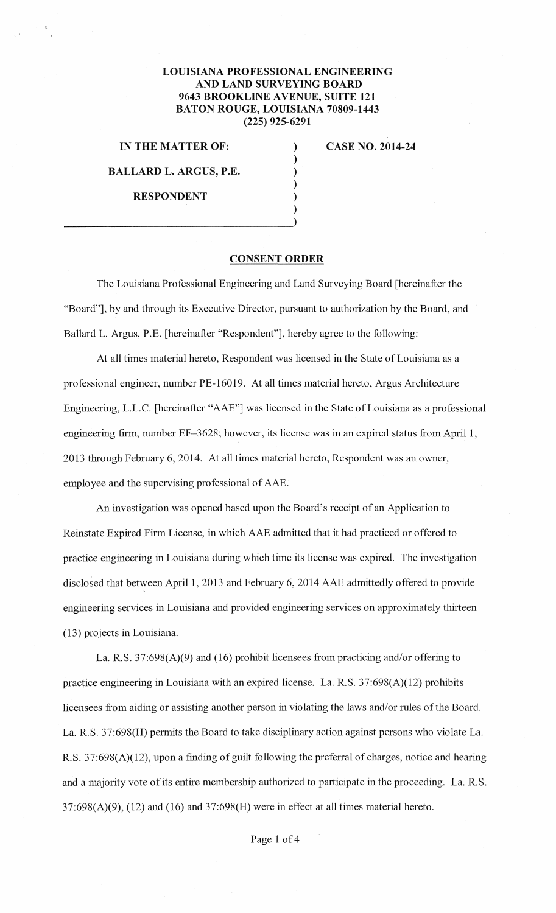## **LOUISIANA PROFESSIONAL ENGINEERING AND LAND SURVEYING BOARD 9643 BROOKLINE A VENUE, SUITE 121 BATON ROUGE, LOUISIANA 70809-1443 (225) 925-6291**

) ) ), ) )

**IN THE MATTER OF:** 

**BALLARD L. ARGUS, P.E.** 

)  $\frac{1}{2}$ 

**RESPONDENT** 

**CASE NO. 2014-24** 

**CONSENT ORDER** 

The Louisiana Professional Engineering and Land Surveying Board [hereinafter the "Board"], by and through its Executive Director, pursuant to authorization by the Board, and Ballard L. Argus, P.E. [hereinafter "Respondent"], hereby agree to the following:

At all times material hereto, Respondent was licensed in the State of Louisiana as a professional engineer, number PE-16019. At all times material hereto, Argus Architecture Engineering, L.L.C. [hereinafter "AAE"] was licensed in the State of Louisiana as a professional engineering firm, number EF-3628; however, its license was in an expired status from April 1, 2013 through February 6, 2014. At all times material hereto, Respondent was an owner, employee and the supervising professional of AAE.

An investigation was opened based upon the Board's receipt of an Application to Reinstate Expired Firm License, in which AAE admitted that it had practiced or offered to practice engineering in Louisiana during which time its license was expired. The investigation disclosed that between April 1, 2013 and February 6, 2014 AAE admittedly offered to provide engineering services in Louisiana and provided engineering services on approximately thirteen (13) projects in Louisiana.

La. R.S. 37:698(A)(9) and (16) prohibit licensees from practicing and/or offering to practice engineering in Louisiana with an expired license. La. R.S. 37:698(A)(12) prohibits licensees from aiding or assisting another person in violating the laws and/or rules of the Board. La. R.S. 37:698(H) permits the Board to take disciplinary action against persons who violate La. R.S. 37:698(A)(12), upon a finding of guilt following the preferral of charges, notice and hearing and a majority vote of its entire membership authorized to participate in the proceeding. La. R.S.  $37:698(A)(9)$ ,  $(12)$  and  $(16)$  and  $37:698(H)$  were in effect at all times material hereto.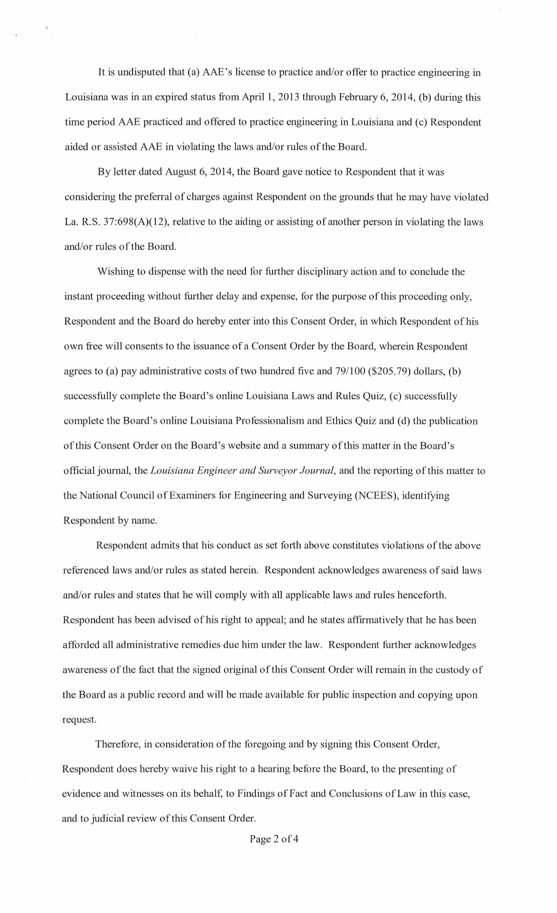It is undisputed that (a) AAE's license to practice and/or offer to practice engineering in Louisiana was in an expired status from April 1, 2013 through February 6, 2014, (b) during this time period AAE practiced and offered to practice engineering in Louisiana and (c) Respondent aided or assisted AAE in violating the laws and/or rules of the Board.

By letter dated August 6, 2014, the Board gave notice to Respondent that it was considering the preferral of charges against Respondent on the grounds that he may have violated La. R.S. 37:698(A)(12), relative to the aiding or assisting of another person in violating the laws and/or rules of the Board.

Wishing to dispense with the need for further disciplinary action and to conclude the instant proceeding without further delay and expense, for the purpose of this proceeding only, Respondent and the Board do hereby enter into this Consent Order, in which Respondent of his own free will consents to the issuance of a Consent Order by the Board, wherein Respondent agrees to (a) pay administrative costs of two hundred five and 791100 (\$205.79) dollars, (b) successfully complete the Board's online Louisiana Laws and Rules Quiz, (c) successfully complete the Board's online Louisiana Professionalism and Ethics Quiz and (d) the publication of this Consent Order on the Board's website and a summary of this matter in the Board's official journal, the *Louisiana Engineer and Surveyor Journal,* and the reporting of this matter to the National Council of Examiners for Engineering and Surveying (NCEES), identifying Respondent by name.

Respondent admits that his conduct as set forth above constitutes violations of the above referenced laws and/or rules as stated herein. Respondent acknowledges awareness of said laws and/or rules and states that he will comply with all applicable laws and rules henceforth. Respondent has been advised of his right to appeal; and he states affrrmatively that he has been afforded all administrative remedies due him under the law. Respondent further acknowledges awareness of the fact that the signed original of this Consent Order will remain in the custody of the Board as a public record and will be made available for public inspection and copying upon request.

Therefore, in consideration of the foregoing and by signing this Consent Order, Respondent does hereby waive his right to a hearing before the Board, to the presenting of evidence and witnesses on its behalf, to Findings of Fact and Conclusions of Law in this case, and to judicial review of this Consent Order.

Page 2 of 4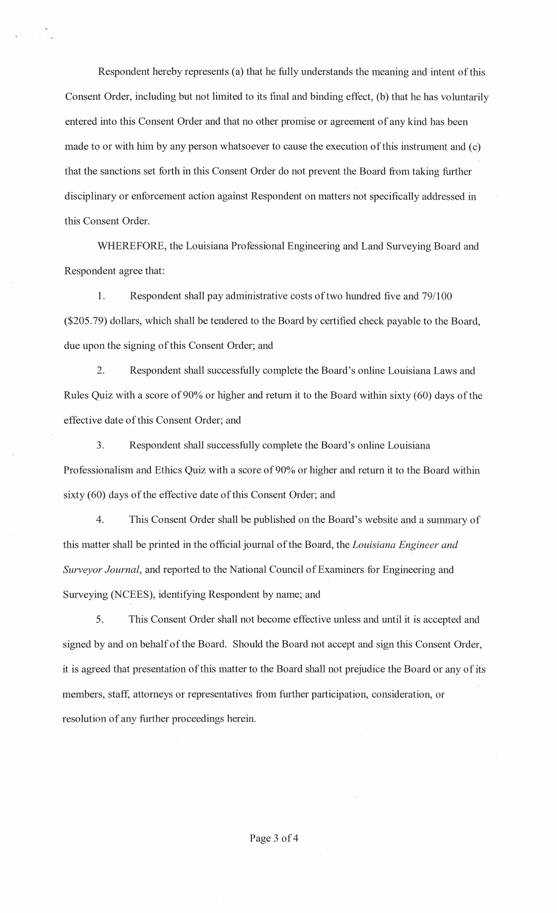Respondent hereby represents (a) that he fully understands the meaning and intent of this Consent Order, including but not limited to its final and binding effect, (b) that he has voluntarily entered into this Consent Order and that no other promise or agreement of any kind has been made to or with him by any person whatsoever to cause the execution of this instrument and (c) that the sanctions set forth in this Consent Order do not prevent the Board from taking further disciplinary or enforcement action against Respondent on matters not specifically addressed in this Consent Order.

WHEREFORE, the Louisiana Professional Engineering and Land Surveying Board and Respondent agree that:

1. Respondent shall pay administrative costs of two hundred five and 79/100 (\$205.79) dollars, which shall be tendered to the Board by certified check payable to the Board, due upon the signing of this Consent Order; and

2. Respondent shall successfully complete the Board's online Louisiana Laws and Rules Quiz with a score of 90% or higher and return it to the Board within sixty (60) days of the effective date of this Consent Order; and

3. Respondent shall successfully complete the Board's online Louisiana Professionalism and Ethics Quiz with a score of 90% or higher and return it to the Board within sixty (60) days of the effective date of this Consent Order; and

4. This Consent Order shall be published on the Board's website and a summary of this matter shall be printed in the official journal of the Board, the *Louisiana Engineer and Surveyor Journal,* and reported to the National Council of Examiners for Engineering and Surveying (NCEES), identifying Respondent by name; and

5. This Consent Order shall not become effective unless and until it is accepted and signed by and on behalf of the Board. Should the Board not accept and sign this Consent Order, it is agreed that presentation of this matter to the Board shall not prejudice the Board or any of its members, staff, attorneys or representatives from further participation, consideration, or resolution of any further proceedings herein.